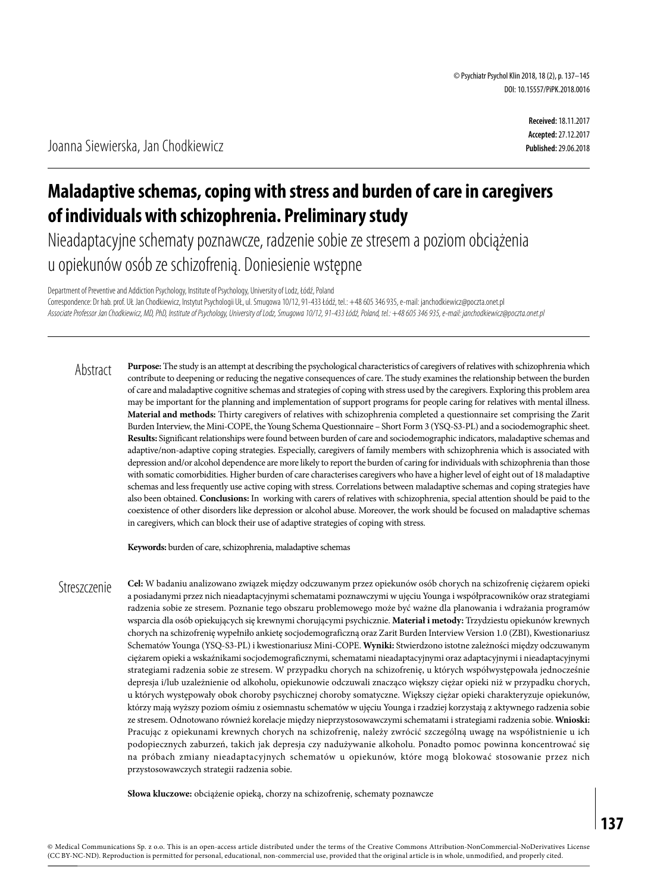# **Maladaptive schemas, coping with stress and burden of care in caregivers of individuals with schizophrenia. Preliminary study**

Nieadaptacyjne schematy poznawcze, radzenie sobie ze stresem a poziom obciążenia u opiekunów osób ze schizofrenią. Doniesienie wstępne

Department of Preventive and Addiction Psychology, Institute of Psychology, University of Lodz, Łódź, Poland Correspondence: Dr hab. prof. UŁ Jan Chodkiewicz, Instytut Psychologii UŁ, ul. Smugowa 10/12, 91-433 Łódź, tel.: +48 605 346 935, e-mail: janchodkiewicz@poczta.onet.pl *Associate Professor Jan Chodkiewicz, MD, PhD, Institute of Psychology, University of Lodz, Smugowa 10/12, 91-433 Łódź, Poland, tel.: +48 605 346 935, e-mail: janchodkiewicz@poczta.onet.pl*

**Purpose:** The study is an attempt at describing the psychological characteristics of caregivers of relatives with schizophrenia which contribute to deepening or reducing the negative consequences of care. The study examines the relationship between the burden of care and maladaptive cognitive schemas and strategies of coping with stress used by the caregivers. Exploring this problem area may be important for the planning and implementation of support programs for people caring for relatives with mental illness. **Material and methods:** Thirty caregivers of relatives with schizophrenia completed a questionnaire set comprising the Zarit Burden Interview, the Mini-COPE, the Young Schema Questionnaire – Short Form 3 (YSQ-S3-PL) and a sociodemographic sheet. **Results:** Significant relationships were found between burden of care and sociodemographic indicators, maladaptive schemas and adaptive/non-adaptive coping strategies. Especially, caregivers of family members with schizophrenia which is associated with depression and/or alcohol dependence are more likely to report the burden of caring for individuals with schizophrenia than those with somatic comorbidities. Higher burden of care characterises caregivers who have a higher level of eight out of 18 maladaptive schemas and less frequently use active coping with stress. Correlations between maladaptive schemas and coping strategies have also been obtained. **Conclusions:** In working with carers of relatives with schizophrenia, special attention should be paid to the coexistence of other disorders like depression or alcohol abuse. Moreover, the work should be focused on maladaptive schemas in caregivers, which can block their use of adaptive strategies of coping with stress. Abstract

**Keywords:** burden of care, schizophrenia, maladaptive schemas

**Cel:** W badaniu analizowano związek między odczuwanym przez opiekunów osób chorych na schizofrenię ciężarem opieki a posiadanymi przez nich nieadaptacyjnymi schematami poznawczymi w ujęciu Younga i współpracowników oraz strategiami radzenia sobie ze stresem. Poznanie tego obszaru problemowego może być ważne dla planowania i wdrażania programów wsparcia dla osób opiekujących się krewnymi chorującymi psychicznie. **Materiał i metody:** Trzydziestu opiekunów krewnych chorych na schizofrenię wypełniło ankietę socjodemograficzną oraz Zarit Burden Interview Version 1.0 (ZBI), Kwestionariusz Schematów Younga (YSQ-S3-PL) i kwestionariusz Mini-COPE. **Wyniki:** Stwierdzono istotne zależności między odczuwanym ciężarem opieki a wskaźnikami socjodemograficznymi, schematami nieadaptacyjnymi oraz adaptacyjnymi i nieadaptacyjnymi strategiami radzenia sobie ze stresem. W przypadku chorych na schizofrenię, u których współwystępowała jednocześnie depresja i/lub uzależnienie od alkoholu, opiekunowie odczuwali znacząco większy ciężar opieki niż w przypadku chorych, u których występowały obok choroby psychicznej choroby somatyczne. Większy ciężar opieki charakteryzuje opiekunów, którzy mają wyższy poziom ośmiu z osiemnastu schematów w ujęciu Younga i rzadziej korzystają z aktywnego radzenia sobie ze stresem. Odnotowano również korelacje między nieprzystosowawczymi schematami i strategiami radzenia sobie. **Wnioski:** Pracując z opiekunami krewnych chorych na schizofrenię, należy zwrócić szczególną uwagę na współistnienie u ich podopiecznych zaburzeń, takich jak depresja czy nadużywanie alkoholu. Ponadto pomoc powinna koncentrować się na próbach zmiany nieadaptacyjnych schematów u opiekunów, które mogą blokować stosowanie przez nich przystosowawczych strategii radzenia sobie. **Streszczenie** 

**Słowa kluczowe:** obciążenie opieką, chorzy na schizofrenię, schematy poznawcze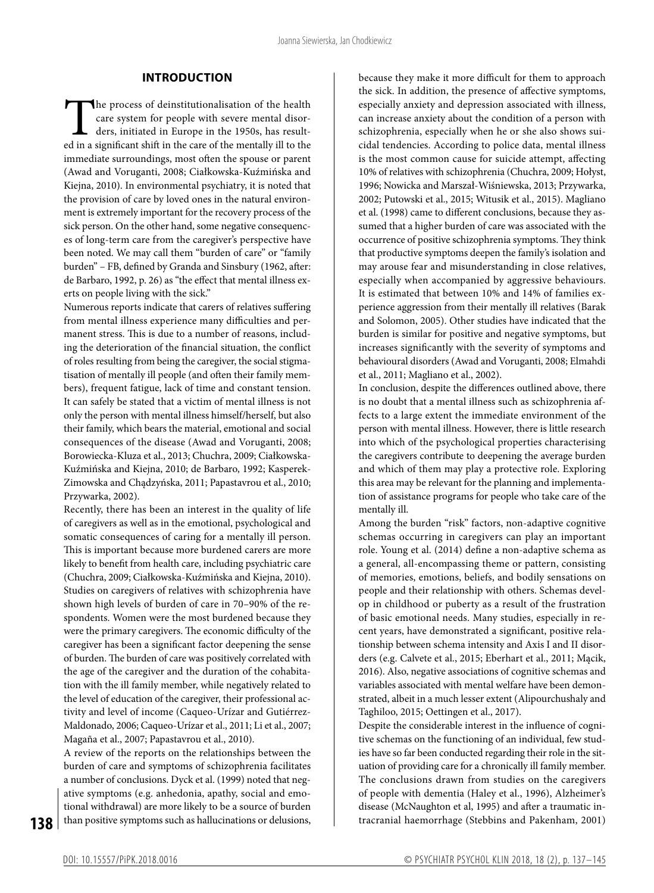### **INTRODUCTION**

The process of deinstitutionalisation of the health<br>care system for people with severe mental disor-<br>ders, initiated in Europe in the 1950s, has result-<br>ed in a significant shift in the care of the mentally ill to the care system for people with severe mental disorders, initiated in Europe in the 1950s, has resulted in a significant shift in the care of the mentally ill to the immediate surroundings, most often the spouse or parent (Awad and Voruganti, 2008; Ciałkowska-Kuźmińska and Kiejna, 2010). In environmental psychiatry, it is noted that the provision of care by loved ones in the natural environment is extremely important for the recovery process of the sick person. On the other hand, some negative consequences of long-term care from the caregiver's perspective have been noted. We may call them "burden of care" or "family burden" – FB, defined by Granda and Sinsbury (1962, after: de Barbaro, 1992, p. 26) as "the effect that mental illness exerts on people living with the sick."

Numerous reports indicate that carers of relatives suffering from mental illness experience many difficulties and permanent stress. This is due to a number of reasons, including the deterioration of the financial situation, the conflict of roles resulting from being the caregiver, the social stigmatisation of mentally ill people (and often their family members), frequent fatigue, lack of time and constant tension. It can safely be stated that a victim of mental illness is not only the person with mental illness himself/herself, but also their family, which bears the material, emotional and social consequences of the disease (Awad and Voruganti, 2008; Borowiecka-Kluza et al., 2013; Chuchra, 2009; Ciałkowska-Kuźmińska and Kiejna, 2010; de Barbaro, 1992; Kasperek-Zimowska and Chądzyńska, 2011; Papastavrou et al., 2010; Przywarka, 2002).

Recently, there has been an interest in the quality of life of caregivers as well as in the emotional, psychological and somatic consequences of caring for a mentally ill person. This is important because more burdened carers are more likely to benefit from health care, including psychiatric care (Chuchra, 2009; Ciałkowska-Kuźmińska and Kiejna, 2010). Studies on caregivers of relatives with schizophrenia have shown high levels of burden of care in 70–90% of the respondents. Women were the most burdened because they were the primary caregivers. The economic difficulty of the caregiver has been a significant factor deepening the sense of burden. The burden of care was positively correlated with the age of the caregiver and the duration of the cohabitation with the ill family member, while negatively related to the level of education of the caregiver, their professional activity and level of income (Caqueo-Urízar and Gutiérrez-Maldonado, 2006; Caqueo-Urízar et al., 2011; Li et al., 2007; Magaña et al., 2007; Papastavrou et al., 2010).

A review of the reports on the relationships between the burden of care and symptoms of schizophrenia facilitates a number of conclusions. Dyck et al. (1999) noted that negative symptoms (e.g. anhedonia, apathy, social and emotional withdrawal) are more likely to be a source of burden than positive symptoms such as hallucinations or delusions, because they make it more difficult for them to approach the sick. In addition, the presence of affective symptoms, especially anxiety and depression associated with illness, can increase anxiety about the condition of a person with schizophrenia, especially when he or she also shows suicidal tendencies. According to police data, mental illness is the most common cause for suicide attempt, affecting 10% of relatives with schizophrenia (Chuchra, 2009; Hołyst, 1996; Nowicka and Marszał-Wiśniewska, 2013; Przywarka, 2002; Putowski et al., 2015; Witusik et al., 2015). Magliano et al. (1998) came to different conclusions, because they assumed that a higher burden of care was associated with the occurrence of positive schizophrenia symptoms. They think that productive symptoms deepen the family's isolation and may arouse fear and misunderstanding in close relatives, especially when accompanied by aggressive behaviours. It is estimated that between 10% and 14% of families experience aggression from their mentally ill relatives (Barak and Solomon, 2005). Other studies have indicated that the burden is similar for positive and negative symptoms, but increases significantly with the severity of symptoms and behavioural disorders (Awad and Voruganti, 2008; Elmahdi et al., 2011; Magliano et al., 2002).

In conclusion, despite the differences outlined above, there is no doubt that a mental illness such as schizophrenia affects to a large extent the immediate environment of the person with mental illness. However, there is little research into which of the psychological properties characterising the caregivers contribute to deepening the average burden and which of them may play a protective role. Exploring this area may be relevant for the planning and implementation of assistance programs for people who take care of the mentally ill.

Among the burden "risk" factors, non-adaptive cognitive schemas occurring in caregivers can play an important role. Young et al. (2014) define a non-adaptive schema as a general, all-encompassing theme or pattern, consisting of memories, emotions, beliefs, and bodily sensations on people and their relationship with others. Schemas develop in childhood or puberty as a result of the frustration of basic emotional needs. Many studies, especially in recent years, have demonstrated a significant, positive relationship between schema intensity and Axis I and II disorders (e.g. Calvete et al., 2015; Eberhart et al., 2011; Mącik, 2016). Also, negative associations of cognitive schemas and variables associated with mental welfare have been demonstrated, albeit in a much lesser extent (Alipourchushaly and Taghiloo, 2015; Oettingen et al., 2017).

Despite the considerable interest in the influence of cognitive schemas on the functioning of an individual, few studies have so far been conducted regarding their role in the situation of providing care for a chronically ill family member. The conclusions drawn from studies on the caregivers of people with dementia (Haley et al., 1996), Alzheimer's disease (McNaughton et al, 1995) and after a traumatic intracranial haemorrhage (Stebbins and Pakenham, 2001)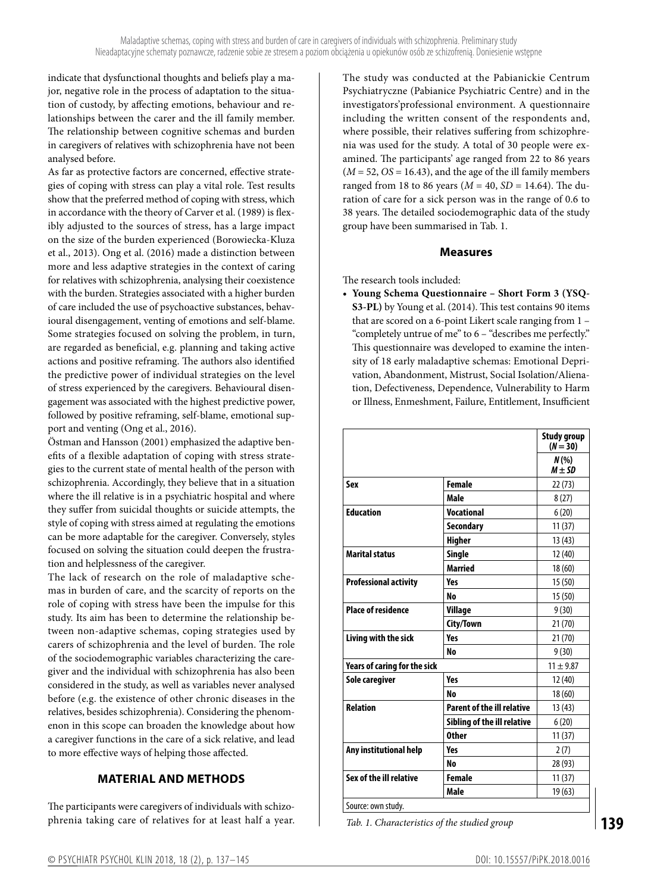indicate that dysfunctional thoughts and beliefs play a major, negative role in the process of adaptation to the situation of custody, by affecting emotions, behaviour and relationships between the carer and the ill family member. The relationship between cognitive schemas and burden in caregivers of relatives with schizophrenia have not been analysed before.

As far as protective factors are concerned, effective strategies of coping with stress can play a vital role. Test results show that the preferred method of coping with stress, which in accordance with the theory of Carver et al. (1989) is flexibly adjusted to the sources of stress, has a large impact on the size of the burden experienced (Borowiecka-Kluza et al., 2013). Ong et al. (2016) made a distinction between more and less adaptive strategies in the context of caring for relatives with schizophrenia, analysing their coexistence with the burden. Strategies associated with a higher burden of care included the use of psychoactive substances, behavioural disengagement, venting of emotions and self-blame. Some strategies focused on solving the problem, in turn, are regarded as beneficial, e.g. planning and taking active actions and positive reframing. The authors also identified the predictive power of individual strategies on the level of stress experienced by the caregivers. Behavioural disengagement was associated with the highest predictive power, followed by positive reframing, self-blame, emotional support and venting (Ong et al., 2016).

Östman and Hansson (2001) emphasized the adaptive benefits of a flexible adaptation of coping with stress strategies to the current state of mental health of the person with schizophrenia. Accordingly, they believe that in a situation where the ill relative is in a psychiatric hospital and where they suffer from suicidal thoughts or suicide attempts, the style of coping with stress aimed at regulating the emotions can be more adaptable for the caregiver. Conversely, styles focused on solving the situation could deepen the frustration and helplessness of the caregiver.

The lack of research on the role of maladaptive schemas in burden of care, and the scarcity of reports on the role of coping with stress have been the impulse for this study. Its aim has been to determine the relationship between non-adaptive schemas, coping strategies used by carers of schizophrenia and the level of burden. The role of the sociodemographic variables characterizing the caregiver and the individual with schizophrenia has also been considered in the study, as well as variables never analysed before (e.g. the existence of other chronic diseases in the relatives, besides schizophrenia). Considering the phenomenon in this scope can broaden the knowledge about how a caregiver functions in the care of a sick relative, and lead to more effective ways of helping those affected.

# **MATERIAL AND METHODS**

The participants were caregivers of individuals with schizophrenia taking care of relatives for at least half a year. The study was conducted at the Pabianickie Centrum Psychiatryczne (Pabianice Psychiatric Centre) and in the investigators'professional environment. A questionnaire including the written consent of the respondents and, where possible, their relatives suffering from schizophrenia was used for the study. A total of 30 people were examined. The participants' age ranged from 22 to 86 years  $(M = 52, OS = 16.43)$ , and the age of the ill family members ranged from 18 to 86 years (*M* = 40, *SD* = 14.64). The duration of care for a sick person was in the range of 0.6 to 38 years. The detailed sociodemographic data of the study group have been summarised in Tab. 1.

## **Measures**

The research tools included:

**• Young Schema Questionnaire – Short Form 3 (YSQ-S3-PL)** by Young et al. (2014). This test contains 90 items that are scored on a 6-point Likert scale ranging from 1 – "completely untrue of me" to 6 – "describes me perfectly." This questionnaire was developed to examine the intensity of 18 early maladaptive schemas: Emotional Deprivation, Abandonment, Mistrust, Social Isolation/Alienation, Defectiveness, Dependence, Vulnerability to Harm or Illness, Enmeshment, Failure, Entitlement, Insufficient

|                              |                                   | <b>Study group</b><br>$(N = 30)$ |
|------------------------------|-----------------------------------|----------------------------------|
|                              |                                   | $N(\%)$<br>$M \pm SD$            |
| Sex                          | <b>Female</b>                     | 22 (73)                          |
|                              | Male                              | 8(27)                            |
| <b>Education</b>             | <b>Vocational</b>                 | 6(20)                            |
|                              | <b>Secondary</b>                  | 11(37)                           |
|                              | <b>Higher</b>                     | 13(43)                           |
| <b>Marital status</b>        | <b>Single</b>                     | 12(40)                           |
|                              | <b>Married</b>                    | 18(60)                           |
| <b>Professional activity</b> | <b>Yes</b>                        | 15(50)                           |
|                              | <b>No</b>                         | 15(50)                           |
| <b>Place of residence</b>    | Village                           | 9(30)                            |
|                              | City/Town                         | 21(70)                           |
| Living with the sick         | <b>Yes</b>                        | 21(70)                           |
|                              | <b>No</b>                         | 9(30)                            |
| Years of caring for the sick |                                   | $11 \pm 9.87$                    |
| Sole caregiver               | Yes                               | 12 (40)                          |
|                              | <b>No</b>                         | 18(60)                           |
| <b>Relation</b>              | <b>Parent of the ill relative</b> | 13(43)                           |
|                              | Sibling of the ill relative       | 6(20)                            |
|                              | <b>Other</b>                      | 11(37)                           |
| Any institutional help       | Yes                               | 2(7)                             |
|                              | <b>No</b>                         | 28 (93)                          |
| Sex of the ill relative      | <b>Female</b>                     | 11(37)                           |
|                              | Male                              | 19(63)                           |
| Source: own study.           |                                   |                                  |

*Tab. 1. Characteristics of the studied group*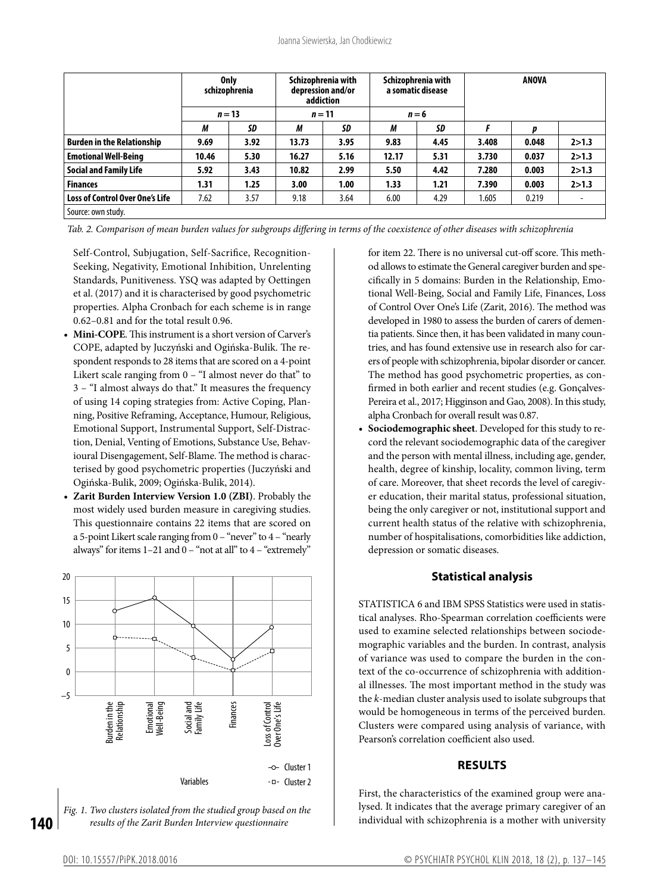|                                   | <b>Only</b><br>schizophrenia |      | Schizophrenia with<br>depression and/or<br>addiction |          | Schizophrenia with<br>a somatic disease |      | ANOVA |       |                          |
|-----------------------------------|------------------------------|------|------------------------------------------------------|----------|-----------------------------------------|------|-------|-------|--------------------------|
|                                   | $n = 13$                     |      |                                                      | $n = 11$ | $n = 6$                                 |      |       |       |                          |
|                                   | М                            | SD   | М                                                    | SD       | М                                       | SD   |       | p     |                          |
| <b>Burden in the Relationship</b> | 9.69                         | 3.92 | 13.73                                                | 3.95     | 9.83                                    | 4.45 | 3.408 | 0.048 | 2 > 1.3                  |
| <b>Emotional Well-Being</b>       | 10.46                        | 5.30 | 16.27                                                | 5.16     | 12.17                                   | 5.31 | 3.730 | 0.037 | 2 > 1.3                  |
| <b>Social and Family Life</b>     | 5.92                         | 3.43 | 10.82                                                | 2.99     | 5.50                                    | 4.42 | 7.280 | 0.003 | 2 > 1.3                  |
| <b>Finances</b>                   | 1.31                         | 1.25 | 3.00                                                 | 1.00     | 1.33                                    | 1.21 | 7.390 | 0.003 | 2 > 1.3                  |
| Loss of Control Over One's Life   | 7.62                         | 3.57 | 9.18                                                 | 3.64     | 6.00                                    | 4.29 | 1.605 | 0.219 | $\overline{\phantom{a}}$ |
| Source: own study.                |                              |      |                                                      |          |                                         |      |       |       |                          |

*Tab. 2. Comparison of mean burden values for subgroups differing in terms of the coexistence of other diseases with schizophrenia*

Self-Control, Subjugation, Self-Sacrifice, Recognition-Seeking, Negativity, Emotional Inhibition, Unrelenting Standards, Punitiveness. YSQ was adapted by Oettingen et al. (2017) and it is characterised by good psychometric properties. Alpha Cronbach for each scheme is in range 0.62–0.81 and for the total result 0.96.

- **• Mini-COPE**. This instrument is a short version of Carver's COPE, adapted by Juczyński and Ogińska-Bulik. The respondent responds to 28 items that are scored on a 4-point Likert scale ranging from 0 – "I almost never do that" to 3 – "I almost always do that." It measures the frequency of using 14 coping strategies from: Active Coping, Planning, Positive Reframing, Acceptance, Humour, Religious, Emotional Support, Instrumental Support, Self-Distraction, Denial, Venting of Emotions, Substance Use, Behavioural Disengagement, Self-Blame. The method is characterised by good psychometric properties (Juczyński and Ogińska-Bulik, 2009; Ogińska-Bulik, 2014).
- **• Zarit Burden Interview Version 1.0 (ZBI)**. Probably the most widely used burden measure in caregiving studies. This questionnaire contains 22 items that are scored on a 5-point Likert scale ranging from 0 – "never" to 4 – "nearly always" for items  $1-21$  and  $0-$  "not at all" to  $4-$  "extremely"



*Fig. 1. Two clusters isolated from the studied group based on the results of the Zarit Burden Interview questionnaire*

for item 22. There is no universal cut-off score. This method allows to estimate the General caregiver burden and specifically in 5 domains: Burden in the Relationship, Emotional Well-Being, Social and Family Life, Finances, Loss of Control Over One's Life (Zarit, 2016). The method was developed in 1980 to assess the burden of carers of dementia patients. Since then, it has been validated in many countries, and has found extensive use in research also for carers of people with schizophrenia, bipolar disorder or cancer. The method has good psychometric properties, as confirmed in both earlier and recent studies (e.g. Gonçalves-Pereira et al., 2017; Higginson and Gao, 2008). In this study, alpha Cronbach for overall result was 0.87.

**• Sociodemographic sheet**. Developed for this study to record the relevant sociodemographic data of the caregiver and the person with mental illness, including age, gender, health, degree of kinship, locality, common living, term of care. Moreover, that sheet records the level of caregiver education, their marital status, professional situation, being the only caregiver or not, institutional support and current health status of the relative with schizophrenia, number of hospitalisations, comorbidities like addiction, depression or somatic diseases.

## **Statistical analysis**

STATISTICA 6 and IBM SPSS Statistics were used in statistical analyses. Rho-Spearman correlation coefficients were used to examine selected relationships between sociodemographic variables and the burden. In contrast, analysis of variance was used to compare the burden in the context of the co-occurrence of schizophrenia with additional illnesses. The most important method in the study was the *k*-median cluster analysis used to isolate subgroups that would be homogeneous in terms of the perceived burden. Clusters were compared using analysis of variance, with Pearson's correlation coefficient also used.

#### **RESULTS**

First, the characteristics of the examined group were analysed. It indicates that the average primary caregiver of an individual with schizophrenia is a mother with university

**140**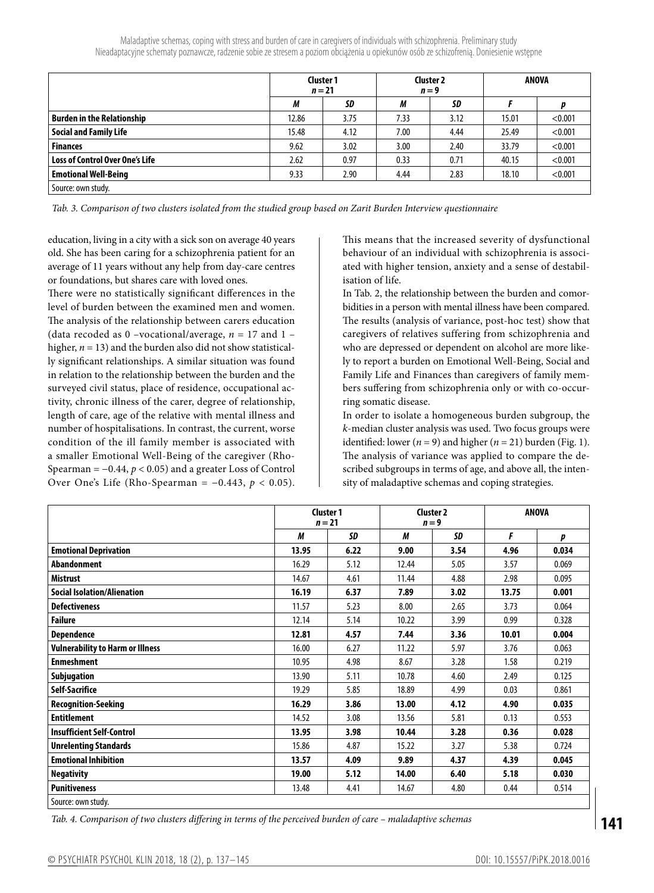|                                   |       | <b>Cluster 1</b><br>$n = 21$ |      | <b>Cluster 2</b><br>$n = 9$ | ANOVA |         |  |
|-----------------------------------|-------|------------------------------|------|-----------------------------|-------|---------|--|
|                                   | М     | SD                           | М    | SD                          |       |         |  |
| <b>Burden in the Relationship</b> | 12.86 | 3.75                         | 7.33 | 3.12                        | 15.01 | < 0.001 |  |
| <b>Social and Family Life</b>     | 15.48 | 4.12                         | 7.00 | 4.44                        | 25.49 | < 0.001 |  |
| <b>Finances</b>                   | 9.62  | 3.02                         | 3.00 | 2.40                        | 33.79 | < 0.001 |  |
| Loss of Control Over One's Life   | 2.62  | 0.97                         | 0.33 | 0.71                        | 40.15 | < 0.001 |  |
| <b>Emotional Well-Being</b>       | 9.33  | 2.90                         | 4.44 | 2.83                        | 18.10 | < 0.001 |  |
| Source: own study.                |       |                              |      |                             |       |         |  |

*Tab. 3. Comparison of two clusters isolated from the studied group based on Zarit Burden Interview questionnaire*

education, living in a city with a sick son on average 40 years old. She has been caring for a schizophrenia patient for an average of 11 years without any help from day-care centres or foundations, but shares care with loved ones.

There were no statistically significant differences in the level of burden between the examined men and women. The analysis of the relationship between carers education (data recoded as  $0$  –vocational/average,  $n = 17$  and  $1$ higher,  $n = 13$ ) and the burden also did not show statistically significant relationships. A similar situation was found in relation to the relationship between the burden and the surveyed civil status, place of residence, occupational activity, chronic illness of the carer, degree of relationship, length of care, age of the relative with mental illness and number of hospitalisations. In contrast, the current, worse condition of the ill family member is associated with a smaller Emotional Well-Being of the caregiver (Rho-Spearman = −0.44, *p* < 0.05) and a greater Loss of Control Over One's Life (Rho-Spearman =  $-0.443$ ,  $p < 0.05$ ).

This means that the increased severity of dysfunctional behaviour of an individual with schizophrenia is associated with higher tension, anxiety and a sense of destabilisation of life.

In Tab. 2, the relationship between the burden and comorbidities in a person with mental illness have been compared. The results (analysis of variance, post-hoc test) show that caregivers of relatives suffering from schizophrenia and who are depressed or dependent on alcohol are more likely to report a burden on Emotional Well-Being, Social and Family Life and Finances than caregivers of family members suffering from schizophrenia only or with co-occurring somatic disease.

In order to isolate a homogeneous burden subgroup, the *k*-median cluster analysis was used. Two focus groups were identified: lower  $(n = 9)$  and higher  $(n = 21)$  burden (Fig. 1). The analysis of variance was applied to compare the described subgroups in terms of age, and above all, the intensity of maladaptive schemas and coping strategies.

|                                         | <b>Cluster 1</b><br>$n = 21$ |      | <b>Cluster 2</b><br>$n = 9$ |      | <b>ANOVA</b> |       |
|-----------------------------------------|------------------------------|------|-----------------------------|------|--------------|-------|
|                                         | М                            | SD   | М                           | SD   | F            | p     |
| <b>Emotional Deprivation</b>            | 13.95                        | 6.22 | 9.00                        | 3.54 | 4.96         | 0.034 |
| Abandonment                             | 16.29                        | 5.12 | 12.44                       | 5.05 | 3.57         | 0.069 |
| <b>Mistrust</b>                         | 14.67                        | 4.61 | 11.44                       | 4.88 | 2.98         | 0.095 |
| <b>Social Isolation/Alienation</b>      | 16.19                        | 6.37 | 7.89                        | 3.02 | 13.75        | 0.001 |
| <b>Defectiveness</b>                    | 11.57                        | 5.23 | 8.00                        | 2.65 | 3.73         | 0.064 |
| <b>Failure</b>                          | 12.14                        | 5.14 | 10.22                       | 3.99 | 0.99         | 0.328 |
| <b>Dependence</b>                       | 12.81                        | 4.57 | 7.44                        | 3.36 | 10.01        | 0.004 |
| <b>Vulnerability to Harm or Illness</b> | 16.00                        | 6.27 | 11.22                       | 5.97 | 3.76         | 0.063 |
| <b>Enmeshment</b>                       | 10.95                        | 4.98 | 8.67                        | 3.28 | 1.58         | 0.219 |
| Subjugation                             | 13.90                        | 5.11 | 10.78                       | 4.60 | 2.49         | 0.125 |
| <b>Self-Sacrifice</b>                   | 19.29                        | 5.85 | 18.89                       | 4.99 | 0.03         | 0.861 |
| <b>Recognition-Seeking</b>              | 16.29                        | 3.86 | 13.00                       | 4.12 | 4.90         | 0.035 |
| <b>Entitlement</b>                      | 14.52                        | 3.08 | 13.56                       | 5.81 | 0.13         | 0.553 |
| <b>Insufficient Self-Control</b>        | 13.95                        | 3.98 | 10.44                       | 3.28 | 0.36         | 0.028 |
| <b>Unrelenting Standards</b>            | 15.86                        | 4.87 | 15.22                       | 3.27 | 5.38         | 0.724 |
| <b>Emotional Inhibition</b>             | 13.57                        | 4.09 | 9.89                        | 4.37 | 4.39         | 0.045 |
| <b>Negativity</b>                       | 19.00                        | 5.12 | 14.00                       | 6.40 | 5.18         | 0.030 |
| <b>Punitiveness</b>                     | 13.48                        | 4.41 | 14.67                       | 4.80 | 0.44         | 0.514 |
| Source: own study.                      |                              |      |                             |      |              |       |

*Tab. 4. Comparison of two clusters differing in terms of the perceived burden of care – maladaptive schemas*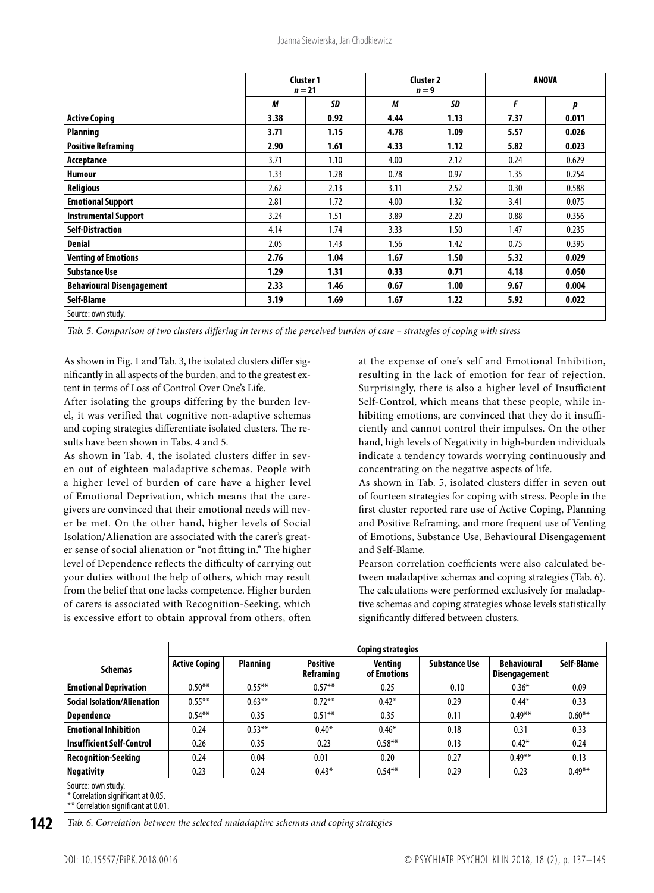|                                                    |      | <b>Cluster 1</b><br>$n = 21$ |      | <b>Cluster 2</b><br>$n = 9$ | <b>ANOVA</b> |       |  |
|----------------------------------------------------|------|------------------------------|------|-----------------------------|--------------|-------|--|
|                                                    | М    | SD                           | М    | SD                          | F            | р     |  |
| <b>Active Coping</b>                               | 3.38 | 0.92                         | 4.44 | 1.13                        | 7.37         | 0.011 |  |
| Planning                                           | 3.71 | 1.15                         | 4.78 | 1.09                        | 5.57         | 0.026 |  |
| <b>Positive Reframing</b>                          | 2.90 | 1.61                         | 4.33 | 1.12                        | 5.82         | 0.023 |  |
| Acceptance                                         | 3.71 | 1.10                         | 4.00 | 2.12                        | 0.24         | 0.629 |  |
| <b>Humour</b>                                      | 1.33 | 1.28                         | 0.78 | 0.97                        | 1.35         | 0.254 |  |
| <b>Religious</b>                                   | 2.62 | 2.13                         | 3.11 | 2.52                        | 0.30         | 0.588 |  |
| <b>Emotional Support</b>                           | 2.81 | 1.72                         | 4.00 | 1.32                        | 3.41         | 0.075 |  |
| <b>Instrumental Support</b>                        | 3.24 | 1.51                         | 3.89 | 2.20                        | 0.88         | 0.356 |  |
| <b>Self-Distraction</b>                            | 4.14 | 1.74                         | 3.33 | 1.50                        | 1.47         | 0.235 |  |
| <b>Denial</b>                                      | 2.05 | 1.43                         | 1.56 | 1.42                        | 0.75         | 0.395 |  |
| <b>Venting of Emotions</b>                         | 2.76 | 1.04                         | 1.67 | 1.50                        | 5.32         | 0.029 |  |
| <b>Substance Use</b>                               | 1.29 | 1.31                         | 0.33 | 0.71                        | 4.18         | 0.050 |  |
| <b>Behavioural Disengagement</b>                   | 2.33 | 1.46                         | 0.67 | 1.00                        | 9.67         | 0.004 |  |
| Self-Blame                                         | 3.19 | 1.69                         | 1.67 | 1.22                        | 5.92         | 0.022 |  |
| $C_{\text{out}}$ $C_{\text{out}}$ $C_{\text{out}}$ |      |                              |      |                             |              |       |  |

Source: own study.

*Tab. 5. Comparison of two clusters differing in terms of the perceived burden of care – strategies of coping with stress*

As shown in Fig. 1 and Tab. 3, the isolated clusters differ significantly in all aspects of the burden, and to the greatest extent in terms of Loss of Control Over One's Life.

After isolating the groups differing by the burden level, it was verified that cognitive non-adaptive schemas and coping strategies differentiate isolated clusters. The results have been shown in Tabs. 4 and 5.

As shown in Tab. 4, the isolated clusters differ in seven out of eighteen maladaptive schemas. People with a higher level of burden of care have a higher level of Emotional Deprivation, which means that the caregivers are convinced that their emotional needs will never be met. On the other hand, higher levels of Social Isolation/Alienation are associated with the carer's greater sense of social alienation or "not fitting in." The higher level of Dependence reflects the difficulty of carrying out your duties without the help of others, which may result from the belief that one lacks competence. Higher burden of carers is associated with Recognition-Seeking, which is excessive effort to obtain approval from others, often

at the expense of one's self and Emotional Inhibition, resulting in the lack of emotion for fear of rejection. Surprisingly, there is also a higher level of Insufficient Self-Control, which means that these people, while inhibiting emotions, are convinced that they do it insufficiently and cannot control their impulses. On the other hand, high levels of Negativity in high-burden individuals indicate a tendency towards worrying continuously and concentrating on the negative aspects of life.

As shown in Tab. 5, isolated clusters differ in seven out of fourteen strategies for coping with stress. People in the first cluster reported rare use of Active Coping, Planning and Positive Reframing, and more frequent use of Venting of Emotions, Substance Use, Behavioural Disengagement and Self-Blame.

Pearson correlation coefficients were also calculated between maladaptive schemas and coping strategies (Tab. 6). The calculations were performed exclusively for maladaptive schemas and coping strategies whose levels statistically significantly differed between clusters.

|                                                                                                   | Coping strategies    |                 |                              |                        |                      |                                     |            |  |  |  |
|---------------------------------------------------------------------------------------------------|----------------------|-----------------|------------------------------|------------------------|----------------------|-------------------------------------|------------|--|--|--|
| <b>Schemas</b>                                                                                    | <b>Active Coping</b> | <b>Planning</b> | <b>Positive</b><br>Reframing | Ventina<br>of Emotions | <b>Substance Use</b> | <b>Behavioural</b><br>Disengagement | Self-Blame |  |  |  |
| <b>Emotional Deprivation</b>                                                                      | $-0.50**$            | $-0.55**$       | $-0.57**$                    | 0.25                   | $-0.10$              | $0.36*$                             | 0.09       |  |  |  |
| <b>Social Isolation/Alienation</b>                                                                | $-0.55***$           | $-0.63**$       | $-0.72**$                    | $0.42*$                | 0.29                 | $0.44*$                             | 0.33       |  |  |  |
| <b>Dependence</b>                                                                                 | $-0.54**$            | $-0.35$         | $-0.51**$                    | 0.35                   | 0.11                 | $0.49**$                            | $0.60**$   |  |  |  |
| <b>Emotional Inhibition</b>                                                                       | $-0.24$              | $-0.53**$       | $-0.40*$                     | $0.46*$                | 0.18                 | 0.31                                | 0.33       |  |  |  |
| <b>Insufficient Self-Control</b>                                                                  | $-0.26$              | $-0.35$         | $-0.23$                      | $0.58***$              | 0.13                 | $0.42*$                             | 0.24       |  |  |  |
| <b>Recognition-Seeking</b>                                                                        | $-0.24$              | $-0.04$         | 0.01                         | 0.20                   | 0.27                 | $0.49**$                            | 0.13       |  |  |  |
| <b>Negativity</b>                                                                                 | $-0.23$              | $-0.24$         | $-0.43*$                     | $0.54***$              | 0.29                 | 0.23                                | $0.49**$   |  |  |  |
| Source: own study.<br>* Correlation significant at 0.05.<br>$**$ Correlation significant at 0.01. |                      |                 |                              |                        |                      |                                     |            |  |  |  |

**142** *Tab. 6. Correlation between the selected maladaptive schemas and coping strategies*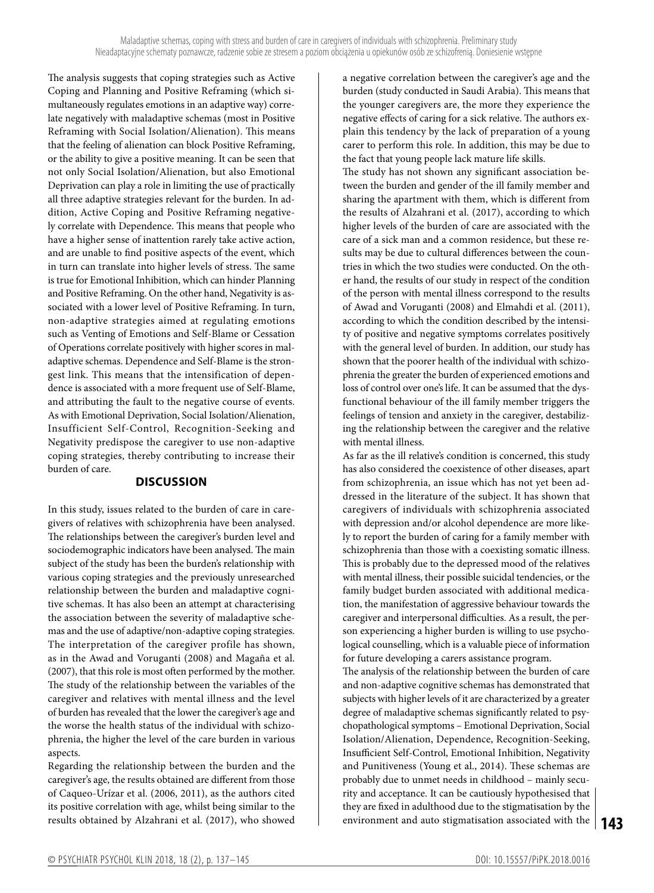The analysis suggests that coping strategies such as Active Coping and Planning and Positive Reframing (which simultaneously regulates emotions in an adaptive way) correlate negatively with maladaptive schemas (most in Positive Reframing with Social Isolation/Alienation). This means that the feeling of alienation can block Positive Reframing, or the ability to give a positive meaning. It can be seen that not only Social Isolation/Alienation, but also Emotional Deprivation can play a role in limiting the use of practically all three adaptive strategies relevant for the burden. In addition, Active Coping and Positive Reframing negatively correlate with Dependence. This means that people who have a higher sense of inattention rarely take active action, and are unable to find positive aspects of the event, which in turn can translate into higher levels of stress. The same is true for Emotional Inhibition, which can hinder Planning and Positive Reframing. On the other hand, Negativity is associated with a lower level of Positive Reframing. In turn, non-adaptive strategies aimed at regulating emotions such as Venting of Emotions and Self-Blame or Cessation of Operations correlate positively with higher scores in maladaptive schemas. Dependence and Self-Blame is the strongest link. This means that the intensification of dependence is associated with a more frequent use of Self-Blame, and attributing the fault to the negative course of events. As with Emotional Deprivation, Social Isolation/Alienation, Insufficient Self-Control, Recognition-Seeking and Negativity predispose the caregiver to use non-adaptive coping strategies, thereby contributing to increase their burden of care.

#### **DISCUSSION**

In this study, issues related to the burden of care in caregivers of relatives with schizophrenia have been analysed. The relationships between the caregiver's burden level and sociodemographic indicators have been analysed. The main subject of the study has been the burden's relationship with various coping strategies and the previously unresearched relationship between the burden and maladaptive cognitive schemas. It has also been an attempt at characterising the association between the severity of maladaptive schemas and the use of adaptive/non-adaptive coping strategies. The interpretation of the caregiver profile has shown, as in the Awad and Voruganti (2008) and Magaña et al. (2007), that this role is most often performed by the mother. The study of the relationship between the variables of the caregiver and relatives with mental illness and the level of burden has revealed that the lower the caregiver's age and the worse the health status of the individual with schizophrenia, the higher the level of the care burden in various aspects.

Regarding the relationship between the burden and the caregiver's age, the results obtained are different from those of Caqueo-Urízar et al. (2006, 2011), as the authors cited its positive correlation with age, whilst being similar to the results obtained by Alzahrani et al. (2017), who showed

a negative correlation between the caregiver's age and the burden (study conducted in Saudi Arabia). This means that the younger caregivers are, the more they experience the negative effects of caring for a sick relative. The authors explain this tendency by the lack of preparation of a young carer to perform this role. In addition, this may be due to the fact that young people lack mature life skills.

The study has not shown any significant association between the burden and gender of the ill family member and sharing the apartment with them, which is different from the results of Alzahrani et al. (2017), according to which higher levels of the burden of care are associated with the care of a sick man and a common residence, but these results may be due to cultural differences between the countries in which the two studies were conducted. On the other hand, the results of our study in respect of the condition of the person with mental illness correspond to the results of Awad and Voruganti (2008) and Elmahdi et al. (2011), according to which the condition described by the intensity of positive and negative symptoms correlates positively with the general level of burden. In addition, our study has shown that the poorer health of the individual with schizophrenia the greater the burden of experienced emotions and loss of control over one's life. It can be assumed that the dysfunctional behaviour of the ill family member triggers the feelings of tension and anxiety in the caregiver, destabilizing the relationship between the caregiver and the relative with mental illness.

As far as the ill relative's condition is concerned, this study has also considered the coexistence of other diseases, apart from schizophrenia, an issue which has not yet been addressed in the literature of the subject. It has shown that caregivers of individuals with schizophrenia associated with depression and/or alcohol dependence are more likely to report the burden of caring for a family member with schizophrenia than those with a coexisting somatic illness. This is probably due to the depressed mood of the relatives with mental illness, their possible suicidal tendencies, or the family budget burden associated with additional medication, the manifestation of aggressive behaviour towards the caregiver and interpersonal difficulties. As a result, the person experiencing a higher burden is willing to use psychological counselling, which is a valuable piece of information for future developing a carers assistance program.

**143** environment and auto stigmatisation associated with the The analysis of the relationship between the burden of care and non-adaptive cognitive schemas has demonstrated that subjects with higher levels of it are characterized by a greater degree of maladaptive schemas significantly related to psychopathological symptoms – Emotional Deprivation, Social Isolation/Alienation, Dependence, Recognition-Seeking, Insufficient Self-Control, Emotional Inhibition, Negativity and Punitiveness (Young et al., 2014). These schemas are probably due to unmet needs in childhood – mainly security and acceptance. It can be cautiously hypothesised that they are fixed in adulthood due to the stigmatisation by the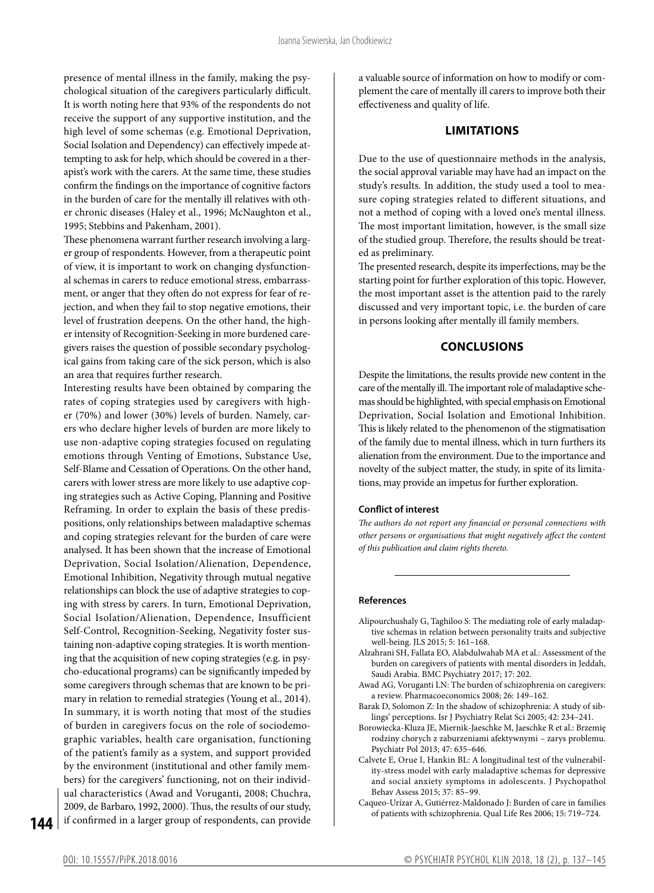presence of mental illness in the family, making the psychological situation of the caregivers particularly difficult. It is worth noting here that 93% of the respondents do not receive the support of any supportive institution, and the high level of some schemas (e.g. Emotional Deprivation, Social Isolation and Dependency) can effectively impede attempting to ask for help, which should be covered in a therapist's work with the carers. At the same time, these studies confirm the findings on the importance of cognitive factors in the burden of care for the mentally ill relatives with other chronic diseases (Haley et al., 1996; McNaughton et al., 1995; Stebbins and Pakenham, 2001).

These phenomena warrant further research involving a larger group of respondents. However, from a therapeutic point of view, it is important to work on changing dysfunctional schemas in carers to reduce emotional stress, embarrassment, or anger that they often do not express for fear of rejection, and when they fail to stop negative emotions, their level of frustration deepens. On the other hand, the higher intensity of Recognition-Seeking in more burdened caregivers raises the question of possible secondary psychological gains from taking care of the sick person, which is also an area that requires further research.

Interesting results have been obtained by comparing the rates of coping strategies used by caregivers with higher (70%) and lower (30%) levels of burden. Namely, carers who declare higher levels of burden are more likely to use non-adaptive coping strategies focused on regulating emotions through Venting of Emotions, Substance Use, Self-Blame and Cessation of Operations. On the other hand, carers with lower stress are more likely to use adaptive coping strategies such as Active Coping, Planning and Positive Reframing. In order to explain the basis of these predispositions, only relationships between maladaptive schemas and coping strategies relevant for the burden of care were analysed. It has been shown that the increase of Emotional Deprivation, Social Isolation/Alienation, Dependence, Emotional Inhibition, Negativity through mutual negative relationships can block the use of adaptive strategies to coping with stress by carers. In turn, Emotional Deprivation, Social Isolation/Alienation, Dependence, Insufficient Self-Control, Recognition-Seeking, Negativity foster sustaining non-adaptive coping strategies. It is worth mentioning that the acquisition of new coping strategies (e.g. in psycho-educational programs) can be significantly impeded by some caregivers through schemas that are known to be primary in relation to remedial strategies (Young et al., 2014). In summary, it is worth noting that most of the studies of burden in caregivers focus on the role of sociodemographic variables, health care organisation, functioning of the patient's family as a system, and support provided by the environment (institutional and other family members) for the caregivers' functioning, not on their individual characteristics (Awad and Voruganti, 2008; Chuchra, 2009, de Barbaro, 1992, 2000). Thus, the results of our study, if confirmed in a larger group of respondents, can provide

a valuable source of information on how to modify or complement the care of mentally ill carers to improve both their effectiveness and quality of life.

#### **LIMITATIONS**

Due to the use of questionnaire methods in the analysis, the social approval variable may have had an impact on the study's results. In addition, the study used a tool to measure coping strategies related to different situations, and not a method of coping with a loved one's mental illness. The most important limitation, however, is the small size of the studied group. Therefore, the results should be treated as preliminary.

The presented research, despite its imperfections, may be the starting point for further exploration of this topic. However, the most important asset is the attention paid to the rarely discussed and very important topic, i.e. the burden of care in persons looking after mentally ill family members.

## **CONCLUSIONS**

Despite the limitations, the results provide new content in the care of the mentally ill. The important role of maladaptive schemas should be highlighted, with special emphasis on Emotional Deprivation, Social Isolation and Emotional Inhibition. This is likely related to the phenomenon of the stigmatisation of the family due to mental illness, which in turn furthers its alienation from the environment. Due to the importance and novelty of the subject matter, the study, in spite of its limitations, may provide an impetus for further exploration.

#### **Conflict of interest**

*The authors do not report any financial or personal connections with other persons or organisations that might negatively affect the content of this publication and claim rights thereto.*

#### **References**

- Alipourchushaly G, Taghiloo S: The mediating role of early maladaptive schemas in relation between personality traits and subjective well-being. JLS 2015; 5: 161–168.
- Alzahrani SH, Fallata EO, Alabdulwahab MA et al.: Assessment of the burden on caregivers of patients with mental disorders in Jeddah, Saudi Arabia. BMC Psychiatry 2017; 17: 202.
- Awad AG, Voruganti LN: The burden of schizophrenia on caregivers: a review. Pharmacoeconomics 2008; 26: 149–162.
- Barak D, Solomon Z: In the shadow of schizophrenia: A study of siblings' perceptions. Isr J Psychiatry Relat Sci 2005; 42: 234–241.
- Borowiecka-Kluza JE, Miernik-Jaeschke M, Jaeschke R et al.: Brzemię rodziny chorych z zaburzeniami afektywnymi – zarys problemu. Psychiatr Pol 2013; 47: 635–646.
- Calvete E, Orue I, Hankin BL: A longitudinal test of the vulnerability-stress model with early maladaptive schemas for depressive and social anxiety symptoms in adolescents. J Psychopathol Behav Assess 2015; 37: 85–99.
- Caqueo-Urízar A, Gutiérrez-Maldonado J: Burden of care in families of patients with schizophrenia. Qual Life Res 2006; 15: 719–724.